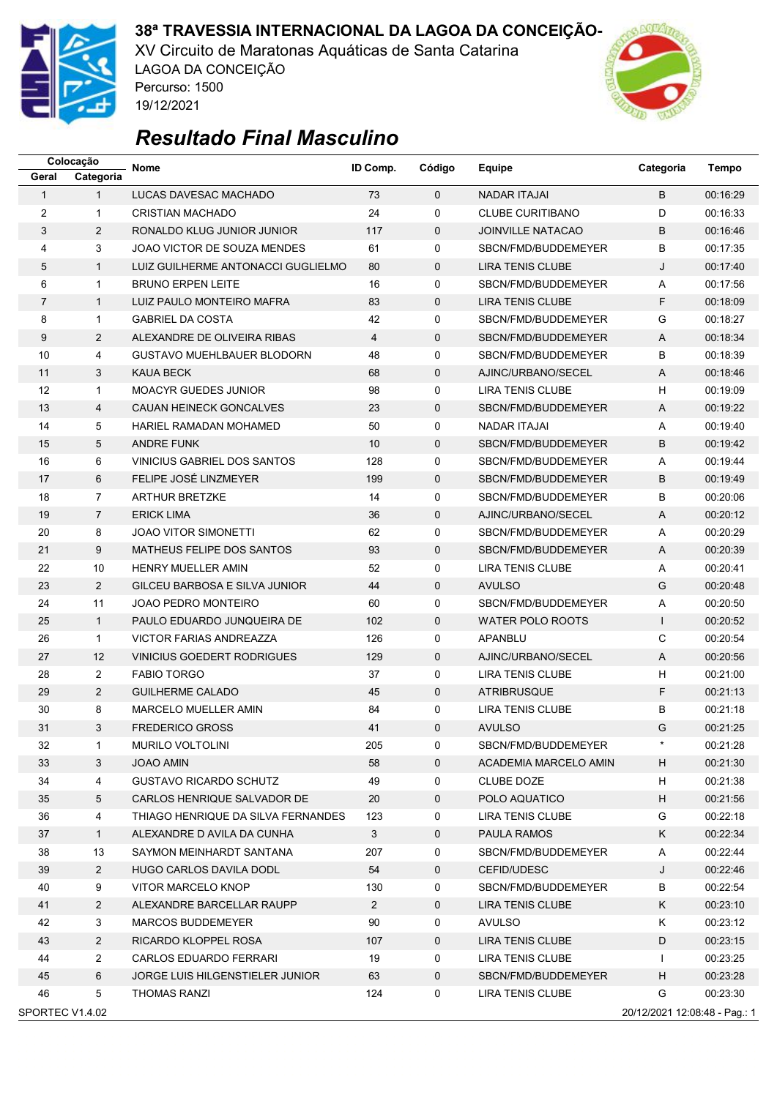

XV Circuito de Maratonas Aquáticas de Santa Catarina LAGOA DA CONCEIÇÃO Percurso: 1500 19/12/2021



|                                                  | Colocação      | <b>Nome</b>                        | ID Comp.<br>Código | Equipe       | Categoria                | Tempo          |          |  |
|--------------------------------------------------|----------------|------------------------------------|--------------------|--------------|--------------------------|----------------|----------|--|
| Geral                                            | Categoria      |                                    |                    |              |                          |                |          |  |
| $\mathbf{1}$                                     | $\mathbf{1}$   | LUCAS DAVESAC MACHADO              | 73                 | $\Omega$     | <b>NADAR ITAJAI</b>      | B              | 00:16:29 |  |
| 2                                                | $\mathbf{1}$   | <b>CRISTIAN MACHADO</b>            | 24                 | 0            | <b>CLUBE CURITIBANO</b>  | D              | 00:16:33 |  |
| 3                                                | $\overline{2}$ | RONALDO KLUG JUNIOR JUNIOR         | 117                | $\mathbf 0$  | <b>JOINVILLE NATACAO</b> | B              | 00:16:46 |  |
| 4                                                | 3              | JOAO VICTOR DE SOUZA MENDES        | 61                 | 0            | SBCN/FMD/BUDDEMEYER      | B              | 00:17:35 |  |
| 5                                                | $\mathbf{1}$   | LUIZ GUILHERME ANTONACCI GUGLIELMO | 80                 | 0            | <b>LIRA TENIS CLUBE</b>  | J              | 00:17:40 |  |
| 6                                                | $\mathbf{1}$   | <b>BRUNO ERPEN LEITE</b>           | 16                 | 0            | SBCN/FMD/BUDDEMEYER      | Α              | 00:17:56 |  |
| 7                                                | $\mathbf{1}$   | LUIZ PAULO MONTEIRO MAFRA          | 83                 | $\mathbf 0$  | LIRA TENIS CLUBE         | F              | 00:18:09 |  |
| 8                                                | $\mathbf{1}$   | <b>GABRIEL DA COSTA</b>            | 42                 | 0            | SBCN/FMD/BUDDEMEYER      | G              | 00:18:27 |  |
| 9                                                | $\overline{2}$ | ALEXANDRE DE OLIVEIRA RIBAS        | $\overline{4}$     | 0            | SBCN/FMD/BUDDEMEYER      | A              | 00:18:34 |  |
| 10                                               | 4              | <b>GUSTAVO MUEHLBAUER BLODORN</b>  | 48                 | 0            | SBCN/FMD/BUDDEMEYER      | B              | 00:18:39 |  |
| 11                                               | 3              | <b>KAUA BECK</b>                   | 68                 | 0            | AJINC/URBANO/SECEL       | A              | 00:18:46 |  |
| 12                                               | $\mathbf{1}$   | <b>MOACYR GUEDES JUNIOR</b>        | 98                 | 0            | <b>LIRA TENIS CLUBE</b>  | H              | 00:19:09 |  |
| 13                                               | 4              | CAUAN HEINECK GONCALVES            | 23                 | 0            | SBCN/FMD/BUDDEMEYER      | Α              | 00:19:22 |  |
| 14                                               | 5              | HARIEL RAMADAN MOHAMED             | 50                 | 0            | NADAR ITAJAI             | Α              | 00:19:40 |  |
| 15                                               | 5              | <b>ANDRE FUNK</b>                  | 10                 | $\mathbf 0$  | SBCN/FMD/BUDDEMEYER      | B              | 00:19:42 |  |
| 16                                               | 6              | <b>VINICIUS GABRIEL DOS SANTOS</b> | 128                | 0            | SBCN/FMD/BUDDEMEYER      | A              | 00:19:44 |  |
| 17                                               | 6              | FELIPE JOSÉ LINZMEYER              | 199                | 0            | SBCN/FMD/BUDDEMEYER      | B              | 00:19:49 |  |
| 18                                               | $\overline{7}$ | <b>ARTHUR BRETZKE</b>              | 14                 | 0            | SBCN/FMD/BUDDEMEYER      | B              | 00:20:06 |  |
| 19                                               | $\overline{7}$ | <b>ERICK LIMA</b>                  | 36                 | $\mathbf 0$  | AJINC/URBANO/SECEL       | A              | 00:20:12 |  |
| 20                                               | 8              | <b>JOAO VITOR SIMONETTI</b>        | 62                 | 0            | SBCN/FMD/BUDDEMEYER      | Α              | 00:20:29 |  |
| 21                                               | 9              | MATHEUS FELIPE DOS SANTOS          | 93                 | 0            | SBCN/FMD/BUDDEMEYER      | Α              | 00:20:39 |  |
| 22                                               | 10             | HENRY MUELLER AMIN                 | 52                 | 0            | <b>LIRA TENIS CLUBE</b>  | Α              | 00:20:41 |  |
| 23                                               | $\overline{2}$ | GILCEU BARBOSA E SILVA JUNIOR      | 44                 | $\mathbf 0$  | <b>AVULSO</b>            | G              | 00:20:48 |  |
| 24                                               | 11             | <b>JOAO PEDRO MONTEIRO</b>         | 60                 | 0            | SBCN/FMD/BUDDEMEYER      | Α              | 00:20:50 |  |
| 25                                               | $\mathbf{1}$   | PAULO EDUARDO JUNQUEIRA DE         | 102                | $\mathbf{0}$ | <b>WATER POLO ROOTS</b>  | $\mathbf{I}$   | 00:20:52 |  |
| 26                                               | $\mathbf{1}$   | <b>VICTOR FARIAS ANDREAZZA</b>     | 126                | 0            | APANBLU                  | С              | 00:20:54 |  |
| 27                                               | 12             | VINICIUS GOEDERT RODRIGUES         | 129                | $\mathbf 0$  | AJINC/URBANO/SECEL       | $\overline{A}$ | 00:20:56 |  |
| 28                                               | 2              | <b>FABIO TORGO</b>                 | 37                 | 0            | <b>LIRA TENIS CLUBE</b>  | H              | 00:21:00 |  |
| 29                                               | $\overline{2}$ | <b>GUILHERME CALADO</b>            | 45                 | $\mathbf{0}$ | <b>ATRIBRUSQUE</b>       | F              | 00:21:13 |  |
| 30                                               | 8              | <b>MARCELO MUELLER AMIN</b>        | 84                 | 0            | LIRA TENIS CLUBE         | В              | 00:21:18 |  |
| 31                                               | 3              | <b>FREDERICO GROSS</b>             | 41                 | $\Omega$     | <b>AVULSO</b>            | G              | 00:21:25 |  |
| 32                                               | 1              | MURILO VOLTOLINI                   | 205                | 0            | SBCN/FMD/BUDDEMEYER      |                | 00:21:28 |  |
| 33                                               | 3              | <b>JOAO AMIN</b>                   | 58                 | 0            | ACADEMIA MARCELO AMIN    | H              | 00:21:30 |  |
| 34                                               | 4              | <b>GUSTAVO RICARDO SCHUTZ</b>      | 49                 | 0            | CLUBE DOZE               | H              | 00:21:38 |  |
| 35                                               | 5              | CARLOS HENRIQUE SALVADOR DE        | 20                 | 0            | POLO AQUATICO            | H              | 00:21:56 |  |
| 36                                               | 4              | THIAGO HENRIQUE DA SILVA FERNANDES | 123                | 0            | LIRA TENIS CLUBE         | G              | 00:22:18 |  |
| 37                                               | $\mathbf{1}$   | ALEXANDRE D AVILA DA CUNHA         | 3                  | 0            | PAULA RAMOS              | Κ              | 00:22:34 |  |
| 38                                               | 13             | SAYMON MEINHARDT SANTANA           | 207                | 0            | SBCN/FMD/BUDDEMEYER      | Α              | 00:22:44 |  |
| 39                                               | $\overline{2}$ | HUGO CARLOS DAVILA DODL            | 54                 | 0            | CEFID/UDESC              | J              | 00:22:46 |  |
| 40                                               | 9              | <b>VITOR MARCELO KNOP</b>          | 130                | 0            | SBCN/FMD/BUDDEMEYER      | В              | 00:22:54 |  |
| 41                                               | $\overline{2}$ | ALEXANDRE BARCELLAR RAUPP          | $\overline{2}$     | 0            | LIRA TENIS CLUBE         | Κ              | 00:23:10 |  |
| 42                                               | 3              | MARCOS BUDDEMEYER                  | 90                 | 0            | AVULSO                   | Κ              | 00:23:12 |  |
| 43                                               | $\overline{2}$ | RICARDO KLOPPEL ROSA               | 107                | 0            | LIRA TENIS CLUBE         | D              | 00:23:15 |  |
| 44                                               | $\overline{2}$ | CARLOS EDUARDO FERRARI             | 19                 | 0            | LIRA TENIS CLUBE         | $\mathbf{I}$   | 00:23:25 |  |
| 45                                               | 6              | JORGE LUIS HILGENSTIELER JUNIOR    | 63                 | 0            | SBCN/FMD/BUDDEMEYER      | H              | 00:23:28 |  |
| 46                                               | 5              | <b>THOMAS RANZI</b>                | 124                | 0            | LIRA TENIS CLUBE         | G              | 00:23:30 |  |
| SPORTEC V1.4.02<br>20/12/2021 12:08:48 - Pag.: 1 |                |                                    |                    |              |                          |                |          |  |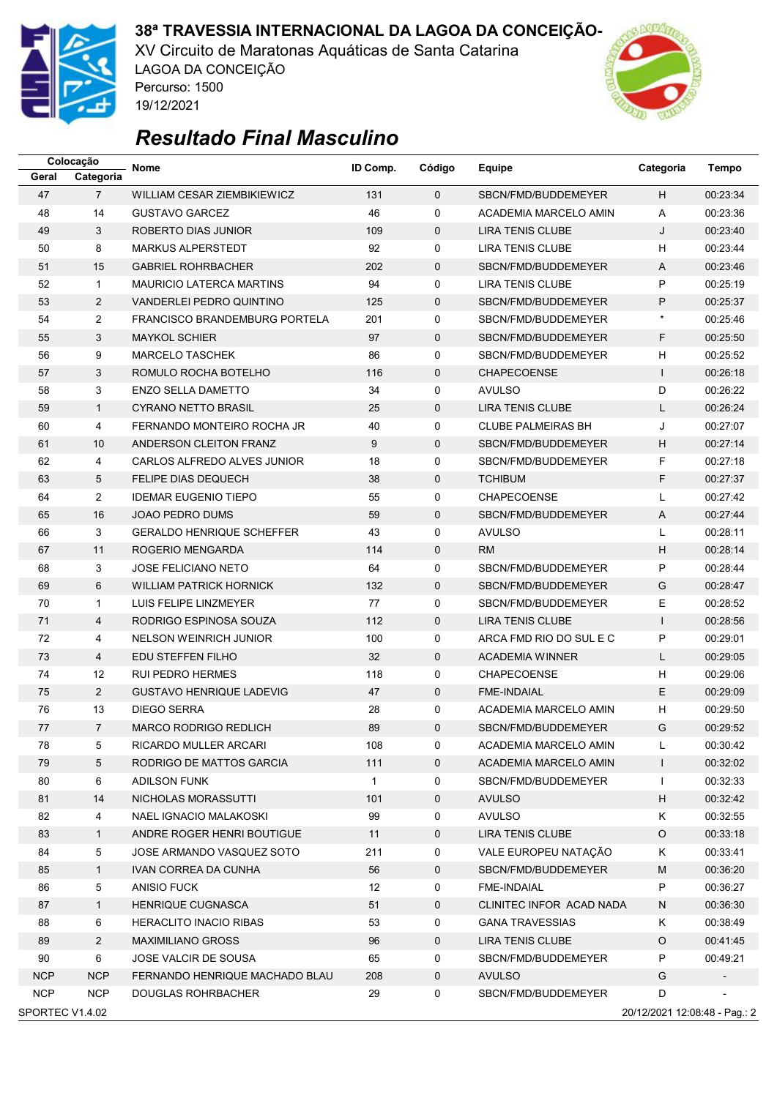

XV Circuito de Maratonas Aquáticas de Santa Catarina LAGOA DA CONCEIÇÃO Percurso: 1500 19/12/2021



|            | Colocação                                        | Nome                                 | ID Comp.     | Código       | Equipe                       | Categoria    | Tempo    |  |
|------------|--------------------------------------------------|--------------------------------------|--------------|--------------|------------------------------|--------------|----------|--|
| Geral      | Categoria                                        |                                      |              |              |                              |              |          |  |
| 47         | $\overline{7}$                                   | WILLIAM CESAR ZIEMBIKIEWICZ          | 131          | $\mathbf{0}$ | SBCN/FMD/BUDDEMEYER          | H.           | 00:23:34 |  |
| 48         | 14                                               | <b>GUSTAVO GARCEZ</b>                | 46           | 0            | ACADEMIA MARCELO AMIN        | Α            | 00:23:36 |  |
| 49         | 3                                                | ROBERTO DIAS JUNIOR                  | 109          | $\mathbf 0$  | <b>LIRA TENIS CLUBE</b>      | J            | 00:23:40 |  |
| 50         | 8                                                | <b>MARKUS ALPERSTEDT</b>             | 92           | 0            | <b>LIRA TENIS CLUBE</b>      | H            | 00:23:44 |  |
| 51         | 15                                               | <b>GABRIEL ROHRBACHER</b>            | 202          | $\mathbf 0$  | SBCN/FMD/BUDDEMEYER          | A            | 00:23:46 |  |
| 52         | $\mathbf{1}$                                     | <b>MAURICIO LATERCA MARTINS</b>      | 94           | 0            | <b>LIRA TENIS CLUBE</b>      | P            | 00:25:19 |  |
| 53         | $\overline{2}$                                   | VANDERLEI PEDRO QUINTINO             | 125          | $\mathbf 0$  | SBCN/FMD/BUDDEMEYER          | P            | 00:25:37 |  |
| 54         | $\overline{2}$                                   | <b>FRANCISCO BRANDEMBURG PORTELA</b> | 201          | 0            | SBCN/FMD/BUDDEMEYER          | $\star$      | 00:25:46 |  |
| 55         | 3                                                | <b>MAYKOL SCHIER</b>                 | 97           | $\mathbf 0$  | SBCN/FMD/BUDDEMEYER          | F            | 00:25:50 |  |
| 56         | 9                                                | <b>MARCELO TASCHEK</b>               | 86           | 0            | SBCN/FMD/BUDDEMEYER          | H            | 00:25:52 |  |
| 57         | 3                                                | ROMULO ROCHA BOTELHO                 | 116          | $\mathbf 0$  | <b>CHAPECOENSE</b>           | $\mathbf{I}$ | 00:26:18 |  |
| 58         | 3                                                | <b>ENZO SELLA DAMETTO</b>            | 34           | 0            | <b>AVULSO</b>                | D            | 00:26:22 |  |
| 59         | $\mathbf{1}$                                     | <b>CYRANO NETTO BRASIL</b>           | 25           | $\mathbf 0$  | <b>LIRA TENIS CLUBE</b>      | L            | 00:26:24 |  |
| 60         | 4                                                | FERNANDO MONTEIRO ROCHA JR           | 40           | 0            | <b>CLUBE PALMEIRAS BH</b>    | J            | 00:27:07 |  |
| 61         | 10                                               | ANDERSON CLEITON FRANZ               | 9            | $\mathbf 0$  | SBCN/FMD/BUDDEMEYER          | H            | 00:27:14 |  |
| 62         | 4                                                | CARLOS ALFREDO ALVES JUNIOR          | 18           | 0            | SBCN/FMD/BUDDEMEYER          | F            | 00:27:18 |  |
| 63         | 5                                                | <b>FELIPE DIAS DEQUECH</b>           | 38           | $\mathbf 0$  | <b>TCHIBUM</b>               | F            | 00:27:37 |  |
| 64         | $\overline{2}$                                   | <b>IDEMAR EUGENIO TIEPO</b>          | 55           | 0            | <b>CHAPECOENSE</b>           | L            | 00:27:42 |  |
| 65         | 16                                               | <b>JOAO PEDRO DUMS</b>               | 59           | $\mathbf 0$  | SBCN/FMD/BUDDEMEYER          | A            | 00:27:44 |  |
| 66         | 3                                                | <b>GERALDO HENRIQUE SCHEFFER</b>     | 43           | 0            | <b>AVULSO</b>                | L            | 00:28:11 |  |
| 67         | 11                                               | ROGERIO MENGARDA                     | 114          | $\mathbf 0$  | <b>RM</b>                    | H            | 00:28:14 |  |
| 68         | 3                                                | <b>JOSE FELICIANO NETO</b>           | 64           | 0            | SBCN/FMD/BUDDEMEYER          | P            | 00:28:44 |  |
| 69         | 6                                                | <b>WILLIAM PATRICK HORNICK</b>       | 132          | $\mathbf 0$  | SBCN/FMD/BUDDEMEYER          | G            | 00:28:47 |  |
| 70         | $\mathbf{1}$                                     | LUIS FELIPE LINZMEYER                | 77           | 0            | SBCN/FMD/BUDDEMEYER          | E            | 00:28:52 |  |
| 71         | 4                                                | RODRIGO ESPINOSA SOUZA               | 112          | $\mathbf 0$  | <b>LIRA TENIS CLUBE</b>      | $\mathbf{I}$ | 00:28:56 |  |
| 72         | 4                                                | <b>NELSON WEINRICH JUNIOR</b>        | 100          | 0            | ARCA FMD RIO DO SUL E C      | P            | 00:29:01 |  |
| 73         | 4                                                | EDU STEFFEN FILHO                    | 32           | $\mathbf 0$  | <b>ACADEMIA WINNER</b>       | L            | 00:29:05 |  |
| 74         | 12                                               | <b>RUI PEDRO HERMES</b>              | 118          | 0            | <b>CHAPECOENSE</b>           | H            | 00:29:06 |  |
| 75         | $\overline{2}$                                   | <b>GUSTAVO HENRIQUE LADEVIG</b>      | 47           | $\mathbf 0$  | <b>FME-INDAIAL</b>           | Ε            | 00:29:09 |  |
| 76         | 13                                               | <b>DIEGO SERRA</b>                   | 28           | 0            | <b>ACADEMIA MARCELO AMIN</b> | H            | 00:29:50 |  |
| 77         | $\overline{7}$                                   | <b>MARCO RODRIGO REDLICH</b>         | 89           | $\Omega$     | SBCN/FMD/BUDDEMEYER          | G            | 00:29:52 |  |
| 78         | 5                                                | RICARDO MULLER ARCARI                | 108          | 0            | ACADEMIA MARCELO AMIN        | L            | 00:30:42 |  |
| 79         | 5                                                | RODRIGO DE MATTOS GARCIA             | 111          | 0            | ACADEMIA MARCELO AMIN        | $\mathsf{I}$ | 00:32:02 |  |
| 80         | 6                                                | <b>ADILSON FUNK</b>                  | $\mathbf{1}$ | 0            | SBCN/FMD/BUDDEMEYER          | L            | 00:32:33 |  |
| 81         | 14                                               | NICHOLAS MORASSUTTI                  | 101          | 0            | <b>AVULSO</b>                | н            | 00:32:42 |  |
| 82         | 4                                                | NAEL IGNACIO MALAKOSKI               | 99           | 0            | <b>AVULSO</b>                | Κ            | 00:32:55 |  |
| 83         | $\mathbf{1}$                                     | ANDRE ROGER HENRI BOUTIGUE           | 11           | 0            | LIRA TENIS CLUBE             | O            | 00:33:18 |  |
| 84         | 5                                                | JOSE ARMANDO VASQUEZ SOTO            | 211          | 0            | VALE EUROPEU NATAÇÃO         | Κ            | 00:33:41 |  |
| 85         | $\mathbf{1}$                                     | IVAN CORREA DA CUNHA                 | 56           | 0            | SBCN/FMD/BUDDEMEYER          | M            | 00:36:20 |  |
| 86         | 5                                                | <b>ANISIO FUCK</b>                   | 12           | 0            | FME-INDAIAL                  | P            | 00:36:27 |  |
| 87         | $\mathbf{1}$                                     | HENRIQUE CUGNASCA                    | 51           | 0            | CLINITEC INFOR ACAD NADA     | N            | 00:36:30 |  |
| 88         | 6                                                | <b>HERACLITO INACIO RIBAS</b>        | 53           | 0            | <b>GANA TRAVESSIAS</b>       | Κ            | 00:38:49 |  |
| 89         | $\overline{2}$                                   | <b>MAXIMILIANO GROSS</b>             | 96           | 0            | LIRA TENIS CLUBE             | O            | 00:41:45 |  |
| 90         | 6                                                | JOSE VALCIR DE SOUSA                 | 65           | 0            | SBCN/FMD/BUDDEMEYER          | P            | 00:49:21 |  |
| <b>NCP</b> | <b>NCP</b>                                       | FERNANDO HENRIQUE MACHADO BLAU       | 208          | $\mathbf 0$  | <b>AVULSO</b>                | G            |          |  |
| <b>NCP</b> | <b>NCP</b>                                       | DOUGLAS ROHRBACHER                   | 29           | 0            | SBCN/FMD/BUDDEMEYER          | D            |          |  |
|            | SPORTEC V1.4.02<br>20/12/2021 12:08:48 - Pag.: 2 |                                      |              |              |                              |              |          |  |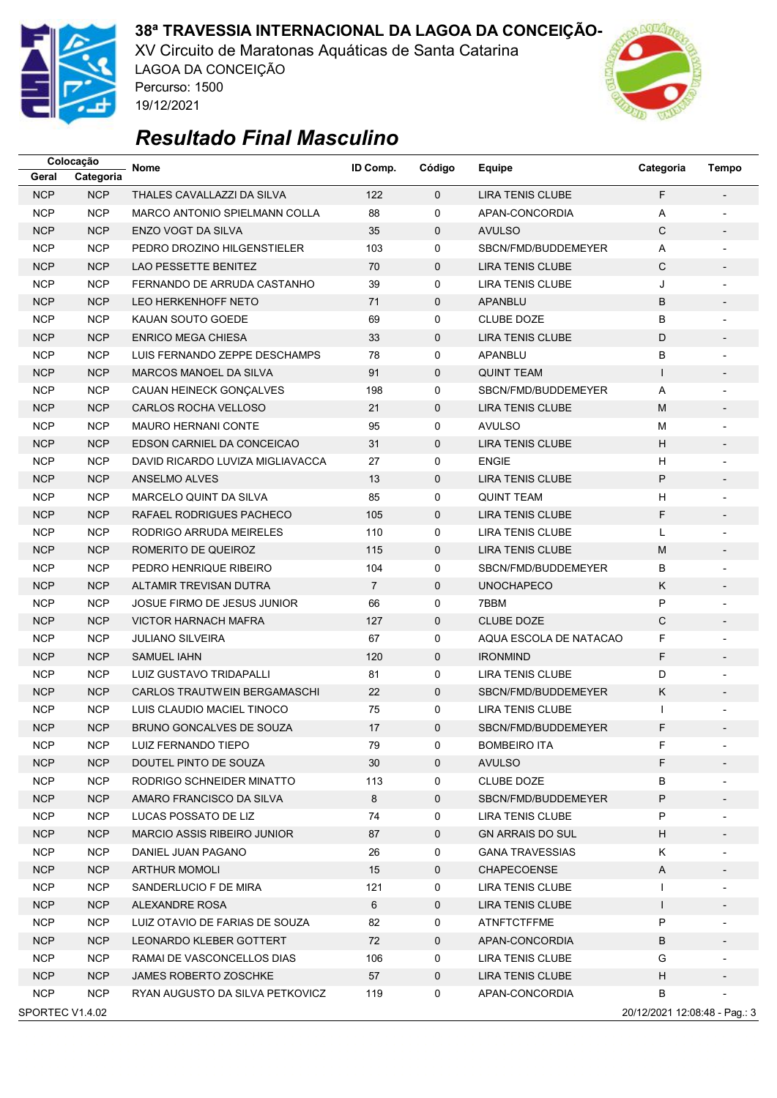

XV Circuito de Maratonas Aquáticas de Santa Catarina LAGOA DA CONCEIÇÃO Percurso: 1500 19/12/2021



|                 | Colocação  | Nome                               | ID Comp.       | Código       | Equipe                  | Categoria                     | Tempo                    |
|-----------------|------------|------------------------------------|----------------|--------------|-------------------------|-------------------------------|--------------------------|
| Geral           | Categoria  |                                    |                |              |                         |                               |                          |
| <b>NCP</b>      | <b>NCP</b> | THALES CAVALLAZZI DA SILVA         | 122            | $\mathbf{0}$ | <b>LIRA TENIS CLUBE</b> | F                             |                          |
| <b>NCP</b>      | <b>NCP</b> | MARCO ANTONIO SPIELMANN COLLA      | 88             | 0            | APAN-CONCORDIA          | Α                             | $\overline{a}$           |
| <b>NCP</b>      | <b>NCP</b> | <b>ENZO VOGT DA SILVA</b>          | 35             | 0            | <b>AVULSO</b>           | C                             | $\overline{\phantom{0}}$ |
| <b>NCP</b>      | <b>NCP</b> | PEDRO DROZINO HILGENSTIELER        | 103            | 0            | SBCN/FMD/BUDDEMEYER     | Α                             | $\overline{a}$           |
| <b>NCP</b>      | <b>NCP</b> | <b>LAO PESSETTE BENITEZ</b>        | 70             | 0            | <b>LIRA TENIS CLUBE</b> | C                             |                          |
| <b>NCP</b>      | <b>NCP</b> | FERNANDO DE ARRUDA CASTANHO        | 39             | 0            | LIRA TENIS CLUBE        | J                             | $\overline{a}$           |
| <b>NCP</b>      | <b>NCP</b> | <b>LEO HERKENHOFF NETO</b>         | 71             | 0            | <b>APANBLU</b>          | B                             | $\overline{a}$           |
| <b>NCP</b>      | <b>NCP</b> | KAUAN SOUTO GOEDE                  | 69             | 0            | <b>CLUBE DOZE</b>       | B                             | $\overline{a}$           |
| <b>NCP</b>      | <b>NCP</b> | <b>ENRICO MEGA CHIESA</b>          | 33             | 0            | <b>LIRA TENIS CLUBE</b> | D                             |                          |
| <b>NCP</b>      | <b>NCP</b> | LUIS FERNANDO ZEPPE DESCHAMPS      | 78             | 0            | APANBLU                 | B                             | $\overline{\phantom{a}}$ |
| <b>NCP</b>      | <b>NCP</b> | MARCOS MANOEL DA SILVA             | 91             | 0            | <b>QUINT TEAM</b>       | $\mathsf{I}$                  | $\overline{\phantom{a}}$ |
| <b>NCP</b>      | <b>NCP</b> | CAUAN HEINECK GONÇALVES            | 198            | 0            | SBCN/FMD/BUDDEMEYER     | Α                             |                          |
| <b>NCP</b>      | <b>NCP</b> | CARLOS ROCHA VELLOSO               | 21             | 0            | <b>LIRA TENIS CLUBE</b> | M                             |                          |
| <b>NCP</b>      | <b>NCP</b> | <b>MAURO HERNANI CONTE</b>         | 95             | 0            | <b>AVULSO</b>           | м                             | $\overline{a}$           |
| <b>NCP</b>      | <b>NCP</b> | EDSON CARNIEL DA CONCEICAO         | 31             | 0            | <b>LIRA TENIS CLUBE</b> | н                             | $\overline{\phantom{a}}$ |
| <b>NCP</b>      | <b>NCP</b> | DAVID RICARDO LUVIZA MIGLIAVACCA   | 27             | 0            | <b>ENGIE</b>            | H                             |                          |
| <b>NCP</b>      | <b>NCP</b> | ANSELMO ALVES                      | 13             | 0            | <b>LIRA TENIS CLUBE</b> | P                             |                          |
| <b>NCP</b>      | <b>NCP</b> | MARCELO QUINT DA SILVA             | 85             | 0            | <b>QUINT TEAM</b>       | н                             | $\overline{a}$           |
| <b>NCP</b>      | <b>NCP</b> | RAFAEL RODRIGUES PACHECO           | 105            | $\mathbf 0$  | <b>LIRA TENIS CLUBE</b> | F                             | $\overline{\phantom{a}}$ |
| <b>NCP</b>      | <b>NCP</b> | RODRIGO ARRUDA MEIRELES            | 110            | 0            | <b>LIRA TENIS CLUBE</b> | Г                             |                          |
| <b>NCP</b>      | <b>NCP</b> | ROMERITO DE QUEIROZ                | 115            | 0            | LIRA TENIS CLUBE        | M                             | $\overline{\phantom{a}}$ |
| <b>NCP</b>      | <b>NCP</b> | PEDRO HENRIQUE RIBEIRO             | 104            | 0            | SBCN/FMD/BUDDEMEYER     | B                             | $\overline{\phantom{a}}$ |
| <b>NCP</b>      | <b>NCP</b> | ALTAMIR TREVISAN DUTRA             | $\overline{7}$ | 0            | <b>UNOCHAPECO</b>       | K.                            | $\overline{\phantom{a}}$ |
| <b>NCP</b>      | <b>NCP</b> | JOSUE FIRMO DE JESUS JUNIOR        | 66             | 0            | 7BBM                    | P                             |                          |
| <b>NCP</b>      | <b>NCP</b> | <b>VICTOR HARNACH MAFRA</b>        | 127            | 0            | <b>CLUBE DOZE</b>       | C                             | $\overline{\phantom{0}}$ |
| <b>NCP</b>      | <b>NCP</b> | <b>JULIANO SILVEIRA</b>            | 67             | 0            | AQUA ESCOLA DE NATACAO  | F                             | $\overline{a}$           |
| <b>NCP</b>      | <b>NCP</b> | <b>SAMUEL IAHN</b>                 | 120            | 0            | <b>IRONMIND</b>         | F                             |                          |
| <b>NCP</b>      | <b>NCP</b> | LUIZ GUSTAVO TRIDAPALLI            | 81             | 0            | LIRA TENIS CLUBE        | D                             | L                        |
| <b>NCP</b>      | <b>NCP</b> | CARLOS TRAUTWEIN BERGAMASCHI       | 22             | 0            | SBCN/FMD/BUDDEMEYER     | Κ                             | $\overline{\phantom{0}}$ |
| <b>NCP</b>      | <b>NCP</b> | LUIS CLAUDIO MACIEL TINOCO         | 75             | 0            | LIRA TENIS CLUBE        | ı                             |                          |
| <b>NCP</b>      | <b>NCP</b> | BRUNO GONCALVES DE SOUZA           | 17             | $\mathbf{0}$ | SBCN/FMD/BUDDEMEYER     | F                             |                          |
| <b>NCP</b>      | <b>NCP</b> | LUIZ FERNANDO TIEPO                | 79             | 0            | <b>BOMBEIRO ITA</b>     | F                             |                          |
| <b>NCP</b>      | <b>NCP</b> | DOUTEL PINTO DE SOUZA              | 30             | 0            | <b>AVULSO</b>           | F                             |                          |
| <b>NCP</b>      | <b>NCP</b> | RODRIGO SCHNEIDER MINATTO          | 113            | 0            | <b>CLUBE DOZE</b>       | B                             |                          |
| <b>NCP</b>      | <b>NCP</b> | AMARO FRANCISCO DA SILVA           | 8              | 0            | SBCN/FMD/BUDDEMEYER     | Ρ                             |                          |
| <b>NCP</b>      | <b>NCP</b> | LUCAS POSSATO DE LIZ               | 74             | 0            | <b>LIRA TENIS CLUBE</b> | Ρ                             | $\overline{\phantom{a}}$ |
| <b>NCP</b>      | <b>NCP</b> | <b>MARCIO ASSIS RIBEIRO JUNIOR</b> | 87             | 0            | <b>GN ARRAIS DO SUL</b> | H                             | $\overline{\phantom{a}}$ |
| <b>NCP</b>      | <b>NCP</b> | DANIEL JUAN PAGANO                 | 26             | 0            | <b>GANA TRAVESSIAS</b>  | K.                            |                          |
| <b>NCP</b>      | <b>NCP</b> | <b>ARTHUR MOMOLI</b>               | 15             | 0            | <b>CHAPECOENSE</b>      | A                             |                          |
| <b>NCP</b>      | <b>NCP</b> | SANDERLUCIO F DE MIRA              | 121            | 0            | LIRA TENIS CLUBE        | L                             | $\overline{\phantom{a}}$ |
| <b>NCP</b>      | <b>NCP</b> | ALEXANDRE ROSA                     | 6              | 0            | LIRA TENIS CLUBE        | $\mathsf{L}$                  | $\overline{\phantom{a}}$ |
| <b>NCP</b>      | <b>NCP</b> | LUIZ OTAVIO DE FARIAS DE SOUZA     | 82             | 0            | <b>ATNFTCTFFME</b>      | P                             |                          |
| <b>NCP</b>      | <b>NCP</b> | LEONARDO KLEBER GOTTERT            | 72             | 0            | APAN-CONCORDIA          | В                             |                          |
| <b>NCP</b>      | <b>NCP</b> | RAMAI DE VASCONCELLOS DIAS         | 106            | 0            | LIRA TENIS CLUBE        | G                             |                          |
| <b>NCP</b>      | <b>NCP</b> | <b>JAMES ROBERTO ZOSCHKE</b>       | 57             | 0            | LIRA TENIS CLUBE        | H                             | $\overline{\phantom{a}}$ |
| <b>NCP</b>      | <b>NCP</b> | RYAN AUGUSTO DA SILVA PETKOVICZ    | 119            | 0            | APAN-CONCORDIA          | B                             |                          |
| SPORTEC V1.4.02 |            |                                    |                |              |                         | 20/12/2021 12:08:48 - Pag.: 3 |                          |